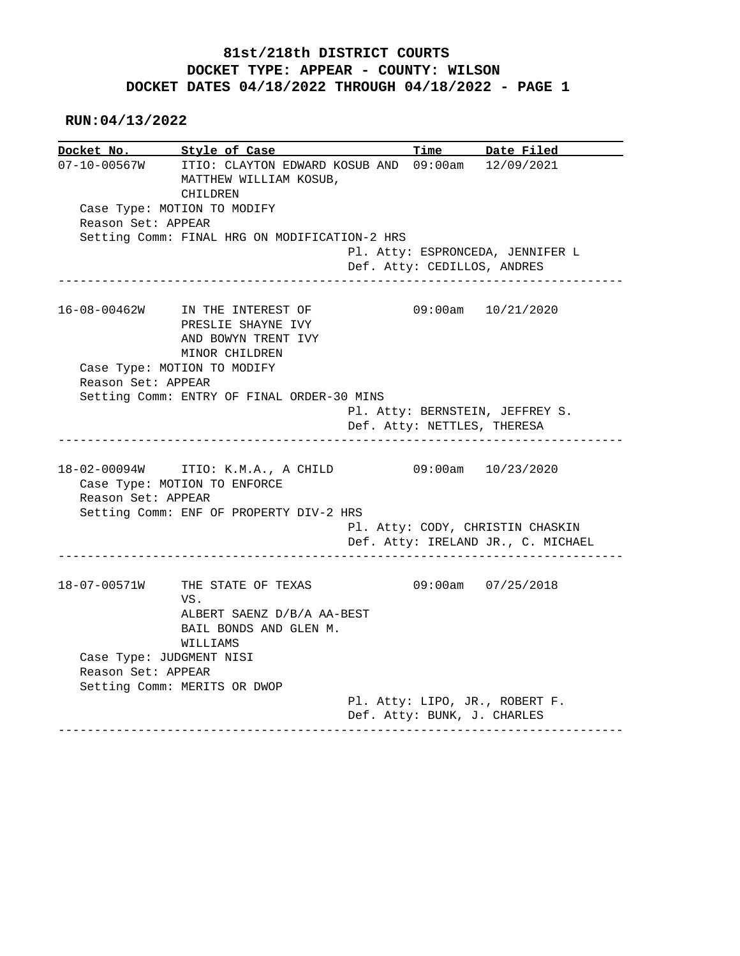**RUN:04/13/2022**

|                    | Docket No. Style of Case                                                                                      |                             | Time Date Filed                                                                              |
|--------------------|---------------------------------------------------------------------------------------------------------------|-----------------------------|----------------------------------------------------------------------------------------------|
| $07 - 10 - 00567W$ | ITIO: CLAYTON EDWARD KOSUB AND 09:00am 12/09/2021<br>MATTHEW WILLIAM KOSUB,<br>CHILDREN                       |                             |                                                                                              |
|                    | Case Type: MOTION TO MODIFY                                                                                   |                             |                                                                                              |
| Reason Set: APPEAR |                                                                                                               |                             |                                                                                              |
|                    | Setting Comm: FINAL HRG ON MODIFICATION-2 HRS                                                                 |                             |                                                                                              |
|                    |                                                                                                               | Def. Atty: CEDILLOS, ANDRES | Pl. Atty: ESPRONCEDA, JENNIFER L                                                             |
|                    | 16-08-00462W IN THE INTEREST OF<br>PRESLIE SHAYNE IVY<br>AND BOWYN TRENT IVY<br>MINOR CHILDREN                |                             | 09:00am 10/21/2020                                                                           |
|                    | Case Type: MOTION TO MODIFY                                                                                   |                             |                                                                                              |
| Reason Set: APPEAR |                                                                                                               |                             |                                                                                              |
|                    | Setting Comm: ENTRY OF FINAL ORDER-30 MINS                                                                    |                             |                                                                                              |
|                    |                                                                                                               |                             | Pl. Atty: BERNSTEIN, JEFFREY S.                                                              |
|                    |                                                                                                               | Def. Atty: NETTLES, THERESA |                                                                                              |
| Reason Set: APPEAR | 18-02-00094W ITIO: K.M.A., A CHILD<br>Case Type: MOTION TO ENFORCE<br>Setting Comm: ENF OF PROPERTY DIV-2 HRS |                             | 09:00am 10/23/2020<br>Pl. Atty: CODY, CHRISTIN CHASKIN<br>Def. Atty: IRELAND JR., C. MICHAEL |
|                    |                                                                                                               |                             |                                                                                              |
| 18-07-00571W       | THE STATE OF TEXAS<br>VS.                                                                                     |                             | $09:00$ am $07/25/2018$                                                                      |
|                    | ALBERT SAENZ D/B/A AA-BEST<br>BAIL BONDS AND GLEN M.<br>WILLIAMS                                              |                             |                                                                                              |
|                    | Case Type: JUDGMENT NISI                                                                                      |                             |                                                                                              |
| Reason Set: APPEAR |                                                                                                               |                             |                                                                                              |
|                    | Setting Comm: MERITS OR DWOP                                                                                  |                             |                                                                                              |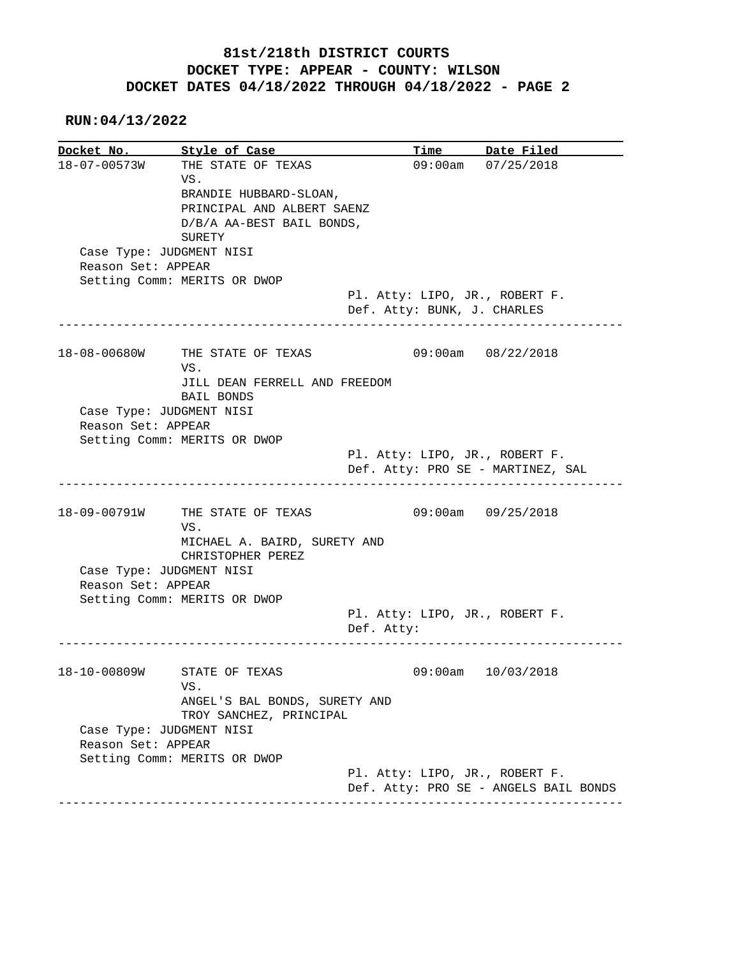**RUN:04/13/2022**

**Docket No.** Style of Case **Time** Date Filed 18-07-00573W THE STATE OF TEXAS 09:00am 07/25/2018 VS. BRANDIE HUBBARD-SLOAN, PRINCIPAL AND ALBERT SAENZ D/B/A AA-BEST BAIL BONDS, SURETY Case Type: JUDGMENT NISI Reason Set: APPEAR Setting Comm: MERITS OR DWOP Pl. Atty: LIPO, JR., ROBERT F. Def. Atty: BUNK, J. CHARLES ------------------------------------------------------------------------------ 18-08-00680W THE STATE OF TEXAS 09:00am 08/22/2018 VS. JILL DEAN FERRELL AND FREEDOM BAIL BONDS Case Type: JUDGMENT NISI Reason Set: APPEAR Setting Comm: MERITS OR DWOP Pl. Atty: LIPO, JR., ROBERT F. Def. Atty: PRO SE - MARTINEZ, SAL ------------------------------------------------------------------------------ 18-09-00791W THE STATE OF TEXAS 09:00am 09/25/2018 VS. MICHAEL A. BAIRD, SURETY AND CHRISTOPHER PEREZ Case Type: JUDGMENT NISI Reason Set: APPEAR Setting Comm: MERITS OR DWOP Pl. Atty: LIPO, JR., ROBERT F. Def. Atty: ------------------------------------------------------------------------------ 18-10-00809W STATE OF TEXAS 09:00am 10/03/2018 VS. ANGEL'S BAL BONDS, SURETY AND TROY SANCHEZ, PRINCIPAL Case Type: JUDGMENT NISI Reason Set: APPEAR Setting Comm: MERITS OR DWOP Pl. Atty: LIPO, JR., ROBERT F. Def. Atty: PRO SE - ANGELS BAIL BONDS ------------------------------------------------------------------------------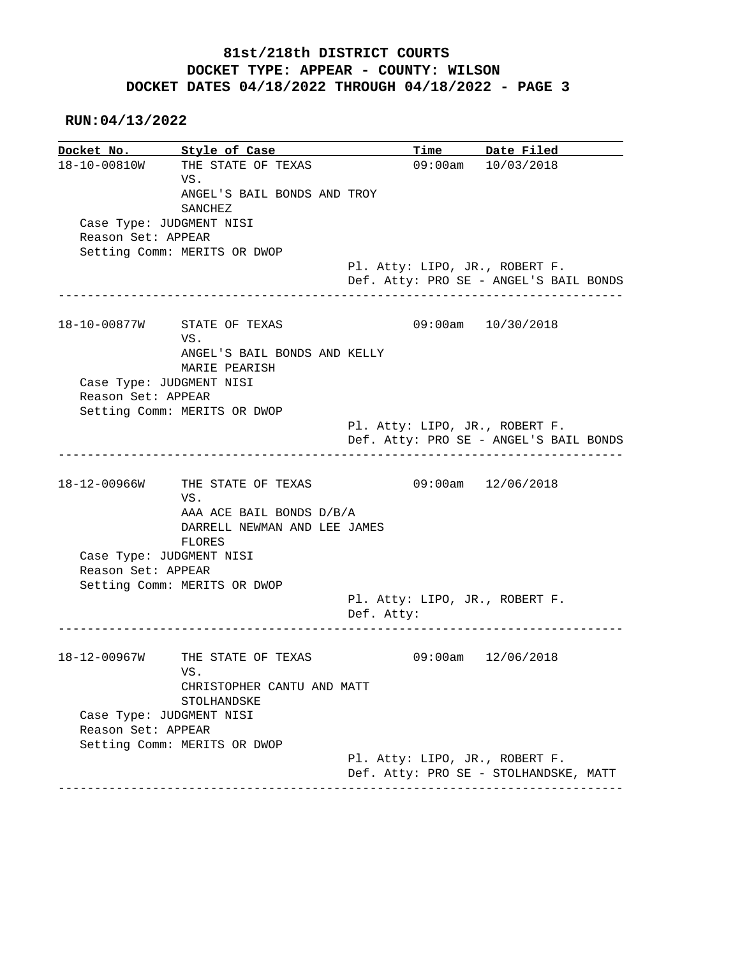**RUN:04/13/2022**

**Docket No. Style of Case Time Date Filed** 18-10-00810W THE STATE OF TEXAS 09:00am 10/03/2018 THE STATE OF TEXAS 09:00am  $10/03/2018$  VS. ANGEL'S BAIL BONDS AND TROY SANCHEZ Case Type: JUDGMENT NISI Reason Set: APPEAR Setting Comm: MERITS OR DWOP Pl. Atty: LIPO, JR., ROBERT F. Def. Atty: PRO SE - ANGEL'S BAIL BONDS ------------------------------------------------------------------------------ 18-10-00877W STATE OF TEXAS 09:00am 10/30/2018 VS. ANGEL'S BAIL BONDS AND KELLY MARIE PEARISH Case Type: JUDGMENT NISI Reason Set: APPEAR Setting Comm: MERITS OR DWOP Pl. Atty: LIPO, JR., ROBERT F. Def. Atty: PRO SE - ANGEL'S BAIL BONDS ------------------------------------------------------------------------------ 18-12-00966W THE STATE OF TEXAS 09:00am 12/06/2018 VS. AAA ACE BAIL BONDS D/B/A DARRELL NEWMAN AND LEE JAMES FLORES Case Type: JUDGMENT NISI Reason Set: APPEAR Setting Comm: MERITS OR DWOP Pl. Atty: LIPO, JR., ROBERT F. Def. Atty: ------------------------------------------------------------------------------ 18-12-00967W THE STATE OF TEXAS 09:00am 12/06/2018 VS. CHRISTOPHER CANTU AND MATT STOLHANDSKE Case Type: JUDGMENT NISI Reason Set: APPEAR Setting Comm: MERITS OR DWOP Pl. Atty: LIPO, JR., ROBERT F. Def. Atty: PRO SE - STOLHANDSKE, MATT ------------------------------------------------------------------------------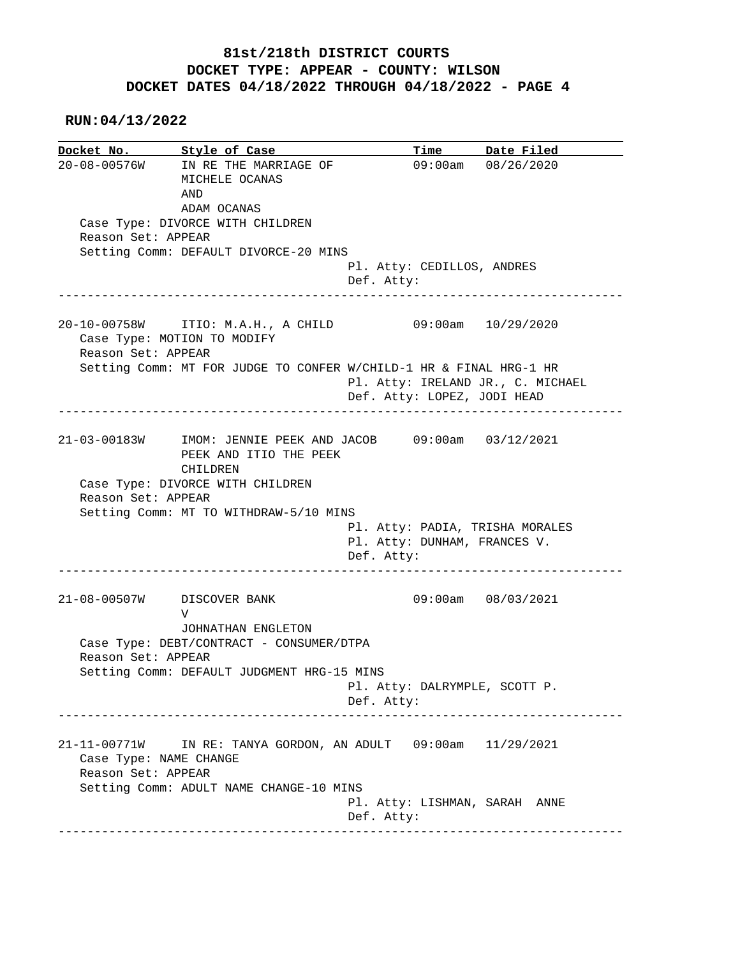**RUN:04/13/2022**

|                    | Docket No. Style of Case                                                                                                                                                        |                                                                               | Time Date Filed    |
|--------------------|---------------------------------------------------------------------------------------------------------------------------------------------------------------------------------|-------------------------------------------------------------------------------|--------------------|
|                    | 20-08-00576W IN RE THE MARRIAGE OF<br>MICHELE OCANAS<br>AND<br>ADAM OCANAS                                                                                                      |                                                                               | 09:00am 08/26/2020 |
|                    | Case Type: DIVORCE WITH CHILDREN                                                                                                                                                |                                                                               |                    |
| Reason Set: APPEAR |                                                                                                                                                                                 |                                                                               |                    |
|                    | Setting Comm: DEFAULT DIVORCE-20 MINS                                                                                                                                           |                                                                               |                    |
|                    |                                                                                                                                                                                 | Pl. Atty: CEDILLOS, ANDRES                                                    |                    |
|                    |                                                                                                                                                                                 | Def. Atty:                                                                    |                    |
| Reason Set: APPEAR | 20-10-00758W ITIO: M.A.H., A CHILD 09:00am 10/29/2020<br>Case Type: MOTION TO MODIFY                                                                                            |                                                                               |                    |
|                    | Setting Comm: MT FOR JUDGE TO CONFER W/CHILD-1 HR & FINAL HRG-1 HR                                                                                                              | Pl. Atty: IRELAND JR., C. MICHAEL                                             |                    |
|                    |                                                                                                                                                                                 | Def. Atty: LOPEZ, JODI HEAD                                                   |                    |
|                    |                                                                                                                                                                                 |                                                                               |                    |
| Reason Set: APPEAR | 21-03-00183W IMOM: JENNIE PEEK AND JACOB 09:00am 03/12/2021<br>PEEK AND ITIO THE PEEK<br>CHILDREN<br>Case Type: DIVORCE WITH CHILDREN<br>Setting Comm: MT TO WITHDRAW-5/10 MINS | Pl. Atty: PADIA, TRISHA MORALES<br>Pl. Atty: DUNHAM, FRANCES V.<br>Def. Atty: |                    |
|                    | 21-08-00507W DISCOVER BANK<br>V                                                                                                                                                 |                                                                               | 09:00am 08/03/2021 |
|                    | JOHNATHAN ENGLETON                                                                                                                                                              |                                                                               |                    |
|                    | Case Type: DEBT/CONTRACT - CONSUMER/DTPA                                                                                                                                        |                                                                               |                    |
| Reason Set: APPEAR |                                                                                                                                                                                 |                                                                               |                    |
|                    | Setting Comm: DEFAULT JUDGMENT HRG-15 MINS                                                                                                                                      |                                                                               |                    |
|                    |                                                                                                                                                                                 | Pl. Atty: DALRYMPLE, SCOTT P.<br>Def. Atty:                                   |                    |